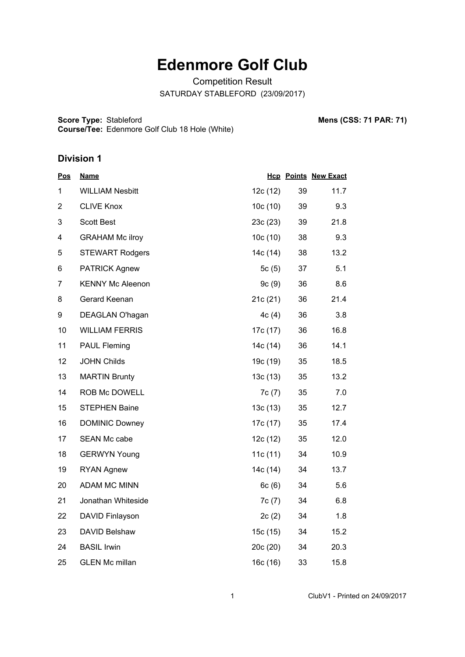# **Edenmore Golf Club**

Competition Result SATURDAY STABLEFORD (23/09/2017)

**Score Type: Course/Tee:** Stableford **Mens (CSS: 71 PAR: 71)** Edenmore Golf Club 18 Hole (White)

#### **Division 1**

| <u>Pos</u>     | <b>Name</b>             |            |    | <b>Hcp Points New Exact</b> |
|----------------|-------------------------|------------|----|-----------------------------|
| 1              | <b>WILLIAM Nesbitt</b>  | 12c (12)   | 39 | 11.7                        |
| $\overline{2}$ | <b>CLIVE Knox</b>       | 10c(10)    | 39 | 9.3                         |
| 3              | <b>Scott Best</b>       | 23c(23)    | 39 | 21.8                        |
| 4              | <b>GRAHAM Mc ilroy</b>  | 10c(10)    | 38 | 9.3                         |
| 5              | <b>STEWART Rodgers</b>  | 14c (14)   | 38 | 13.2                        |
| 6              | <b>PATRICK Agnew</b>    | 5 $c(5)$   | 37 | 5.1                         |
| 7              | <b>KENNY Mc Aleenon</b> | 9c(9)      | 36 | 8.6                         |
| 8              | Gerard Keenan           | 21c(21)    | 36 | 21.4                        |
| 9              | DEAGLAN O'hagan         | 4c(4)      | 36 | 3.8                         |
| 10             | <b>WILLIAM FERRIS</b>   | 17c (17)   | 36 | 16.8                        |
| 11             | <b>PAUL Fleming</b>     | 14c (14)   | 36 | 14.1                        |
| 12             | <b>JOHN Childs</b>      | 19c (19)   | 35 | 18.5                        |
| 13             | <b>MARTIN Brunty</b>    | 13c(13)    | 35 | 13.2                        |
| 14             | ROB Mc DOWELL           | 7c(7)      | 35 | 7.0                         |
| 15             | <b>STEPHEN Baine</b>    | 13c(13)    | 35 | 12.7                        |
| 16             | <b>DOMINIC Downey</b>   | 17c (17)   | 35 | 17.4                        |
| 17             | <b>SEAN Mc cabe</b>     | 12c (12)   | 35 | 12.0                        |
| 18             | <b>GERWYN Young</b>     | 11c $(11)$ | 34 | 10.9                        |
| 19             | <b>RYAN Agnew</b>       | 14c (14)   | 34 | 13.7                        |
| 20             | <b>ADAM MC MINN</b>     | 6c(6)      | 34 | 5.6                         |
| 21             | Jonathan Whiteside      | 7c(7)      | 34 | 6.8                         |
| 22             | DAVID Finlayson         | 2c(2)      | 34 | 1.8                         |
| 23             | DAVID Belshaw           | 15c (15)   | 34 | 15.2                        |
| 24             | <b>BASIL Irwin</b>      | 20c(20)    | 34 | 20.3                        |
| 25             | <b>GLEN Mc millan</b>   | 16c(16)    | 33 | 15.8                        |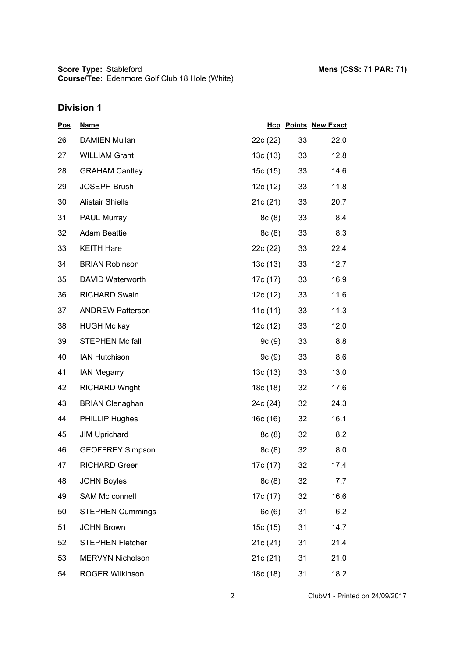# **Division 1**

| <u>Pos</u> | <b>Name</b>             |            |    | <b>Hcp Points New Exact</b> |
|------------|-------------------------|------------|----|-----------------------------|
| 26         | <b>DAMIEN Mullan</b>    | 22c (22)   | 33 | 22.0                        |
| 27         | <b>WILLIAM Grant</b>    | 13c (13)   | 33 | 12.8                        |
| 28         | <b>GRAHAM Cantley</b>   | 15c (15)   | 33 | 14.6                        |
| 29         | <b>JOSEPH Brush</b>     | 12c (12)   | 33 | 11.8                        |
| 30         | <b>Alistair Shiells</b> | 21c(21)    | 33 | 20.7                        |
| 31         | PAUL Murray             | 8c(8)      | 33 | 8.4                         |
| 32         | <b>Adam Beattie</b>     | 8c(8)      | 33 | 8.3                         |
| 33         | <b>KEITH Hare</b>       | 22c (22)   | 33 | 22.4                        |
| 34         | <b>BRIAN Robinson</b>   | 13c(13)    | 33 | 12.7                        |
| 35         | DAVID Waterworth        | 17c (17)   | 33 | 16.9                        |
| 36         | <b>RICHARD Swain</b>    | 12c (12)   | 33 | 11.6                        |
| 37         | <b>ANDREW Patterson</b> | 11c $(11)$ | 33 | 11.3                        |
| 38         | <b>HUGH Mc kay</b>      | 12c(12)    | 33 | 12.0                        |
| 39         | STEPHEN Mc fall         | 9c(9)      | 33 | 8.8                         |
| 40         | <b>IAN Hutchison</b>    | 9c(9)      | 33 | 8.6                         |
| 41         | <b>IAN Megarry</b>      | 13c(13)    | 33 | 13.0                        |
| 42         | <b>RICHARD Wright</b>   | 18c (18)   | 32 | 17.6                        |
| 43         | <b>BRIAN Clenaghan</b>  | 24c (24)   | 32 | 24.3                        |
| 44         | <b>PHILLIP Hughes</b>   | 16c(16)    | 32 | 16.1                        |
| 45         | <b>JIM Uprichard</b>    | 8c(8)      | 32 | 8.2                         |
| 46         | <b>GEOFFREY Simpson</b> | 8c(8)      | 32 | 8.0                         |
| 47         | <b>RICHARD Greer</b>    | 17c (17)   | 32 | 17.4                        |
| 48         | <b>JOHN Boyles</b>      | 8c(8)      | 32 | 7.7                         |
| 49         | SAM Mc connell          | 17c (17)   | 32 | 16.6                        |
| 50         | <b>STEPHEN Cummings</b> | 6c(6)      | 31 | 6.2                         |
| 51         | <b>JOHN Brown</b>       | 15c (15)   | 31 | 14.7                        |
| 52         | <b>STEPHEN Fletcher</b> | 21c (21)   | 31 | 21.4                        |
| 53         | MERVYN Nicholson        | 21c(21)    | 31 | 21.0                        |
| 54         | ROGER Wilkinson         | 18c (18)   | 31 | 18.2                        |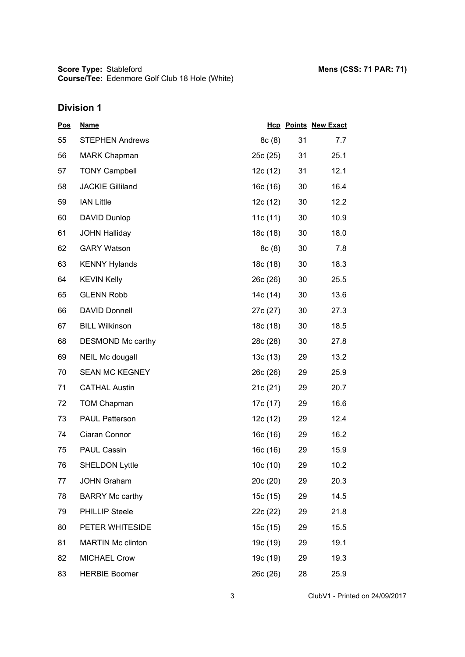**Score Type: Course/Tee:** Stableford **Mens (CSS: 71 PAR: 71)** Edenmore Golf Club 18 Hole (White)

# **Division 1**

| <u>Pos</u> | <b>Name</b>              |          |    | <b>Hcp Points New Exact</b> |
|------------|--------------------------|----------|----|-----------------------------|
| 55         | <b>STEPHEN Andrews</b>   | 8c(8)    | 31 | 7.7                         |
| 56         | <b>MARK Chapman</b>      | 25c(25)  | 31 | 25.1                        |
| 57         | <b>TONY Campbell</b>     | 12c (12) | 31 | 12.1                        |
| 58         | <b>JACKIE Gilliland</b>  | 16c (16) | 30 | 16.4                        |
| 59         | <b>IAN Little</b>        | 12c (12) | 30 | 12.2                        |
| 60         | <b>DAVID Dunlop</b>      | 11c(11)  | 30 | 10.9                        |
| 61         | <b>JOHN Halliday</b>     | 18c (18) | 30 | 18.0                        |
| 62         | <b>GARY Watson</b>       | 8c(8)    | 30 | 7.8                         |
| 63         | <b>KENNY Hylands</b>     | 18c (18) | 30 | 18.3                        |
| 64         | <b>KEVIN Kelly</b>       | 26c(26)  | 30 | 25.5                        |
| 65         | <b>GLENN Robb</b>        | 14c (14) | 30 | 13.6                        |
| 66         | <b>DAVID Donnell</b>     | 27c (27) | 30 | 27.3                        |
| 67         | <b>BILL Wilkinson</b>    | 18c (18) | 30 | 18.5                        |
| 68         | DESMOND Mc carthy        | 28c (28) | 30 | 27.8                        |
| 69         | <b>NEIL Mc dougall</b>   | 13c(13)  | 29 | 13.2                        |
| 70         | <b>SEAN MC KEGNEY</b>    | 26c (26) | 29 | 25.9                        |
| 71         | <b>CATHAL Austin</b>     | 21c(21)  | 29 | 20.7                        |
| 72         | <b>TOM Chapman</b>       | 17c (17) | 29 | 16.6                        |
| 73         | <b>PAUL Patterson</b>    | 12c(12)  | 29 | 12.4                        |
| 74         | Ciaran Connor            | 16c(16)  | 29 | 16.2                        |
| 75         | <b>PAUL Cassin</b>       | 16c (16) | 29 | 15.9                        |
| 76         | <b>SHELDON Lyttle</b>    | 10c(10)  | 29 | 10.2                        |
| 77         | <b>JOHN Graham</b>       | 20c (20) | 29 | 20.3                        |
| 78         | <b>BARRY Mc carthy</b>   | 15c (15) | 29 | 14.5                        |
| 79         | <b>PHILLIP Steele</b>    | 22c (22) | 29 | 21.8                        |
| 80         | PETER WHITESIDE          | 15c (15) | 29 | 15.5                        |
| 81         | <b>MARTIN Mc clinton</b> | 19c (19) | 29 | 19.1                        |
| 82         | <b>MICHAEL Crow</b>      | 19c (19) | 29 | 19.3                        |
| 83         | <b>HERBIE Boomer</b>     | 26c (26) | 28 | 25.9                        |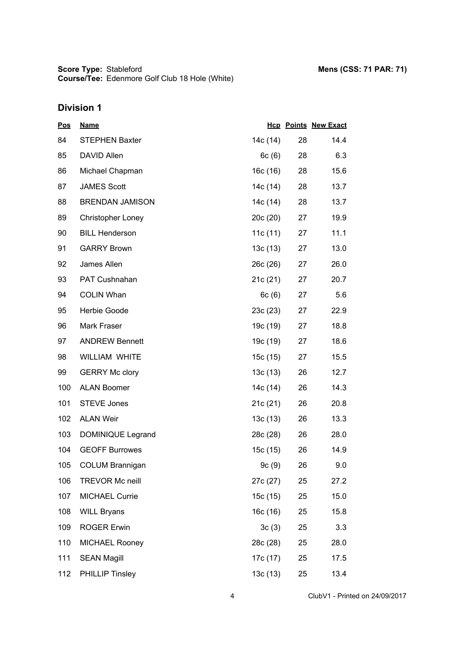**Score Type: Course/Tee:** Stableford **Mens (CSS: 71 PAR: 71)** Edenmore Golf Club 18 Hole (White)

# **Division 1**

| <u>Pos</u> | <b>Name</b>            |          |    | <b>Hcp Points New Exact</b> |
|------------|------------------------|----------|----|-----------------------------|
| 84         | <b>STEPHEN Baxter</b>  | 14c (14) | 28 | 14.4                        |
| 85         | DAVID Allen            | 6c(6)    | 28 | 6.3                         |
| 86         | Michael Chapman        | 16c (16) | 28 | 15.6                        |
| 87         | <b>JAMES Scott</b>     | 14c (14) | 28 | 13.7                        |
| 88         | <b>BRENDAN JAMISON</b> | 14c (14) | 28 | 13.7                        |
| 89         | Christopher Loney      | 20c(20)  | 27 | 19.9                        |
| 90         | <b>BILL Henderson</b>  | 11c(11)  | 27 | 11.1                        |
| 91         | <b>GARRY Brown</b>     | 13c(13)  | 27 | 13.0                        |
| 92         | James Allen            | 26c(26)  | 27 | 26.0                        |
| 93         | PAT Cushnahan          | 21c(21)  | 27 | 20.7                        |
| 94         | <b>COLIN Whan</b>      | 6c(6)    | 27 | 5.6                         |
| 95         | Herbie Goode           | 23c(23)  | 27 | 22.9                        |
| 96         | Mark Fraser            | 19c (19) | 27 | 18.8                        |
| 97         | <b>ANDREW Bennett</b>  | 19c (19) | 27 | 18.6                        |
| 98         | <b>WILLIAM WHITE</b>   | 15c (15) | 27 | 15.5                        |
| 99         | <b>GERRY Mc clory</b>  | 13c(13)  | 26 | 12.7                        |
| 100        | <b>ALAN Boomer</b>     | 14c (14) | 26 | 14.3                        |
| 101        | <b>STEVE Jones</b>     | 21c (21) | 26 | 20.8                        |
| 102        | <b>ALAN Weir</b>       | 13c(13)  | 26 | 13.3                        |
| 103        | DOMINIQUE Legrand      | 28c (28) | 26 | 28.0                        |
| 104        | <b>GEOFF Burrowes</b>  | 15c (15) | 26 | 14.9                        |
| 105        | <b>COLUM Brannigan</b> | 9c(9)    | 26 | 9.0                         |
| 106        | <b>TREVOR Mc neill</b> | 27c (27) | 25 | 27.2                        |
| 107        | <b>MICHAEL Currie</b>  | 15c (15) | 25 | 15.0                        |
| 108        | <b>WILL Bryans</b>     | 16c (16) | 25 | 15.8                        |
| 109        | <b>ROGER Erwin</b>     | 3c(3)    | 25 | 3.3                         |
| 110        | <b>MICHAEL Rooney</b>  | 28c (28) | 25 | 28.0                        |
| 111        | <b>SEAN Magill</b>     | 17c (17) | 25 | 17.5                        |
| 112        | <b>PHILLIP Tinsley</b> | 13c(13)  | 25 | 13.4                        |

4 ClubV1 - Printed on 24/09/2017